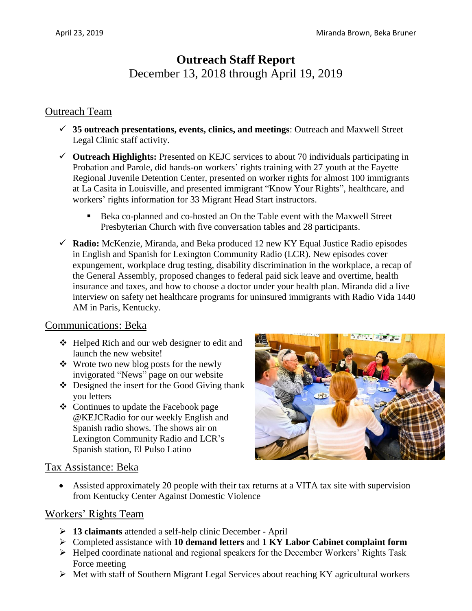# **Outreach Staff Report** December 13, 2018 through April 19, 2019

## Outreach Team

- **35 outreach presentations, events, clinics, and meetings**: Outreach and Maxwell Street Legal Clinic staff activity.
- **Outreach Highlights:** Presented on KEJC services to about 70 individuals participating in Probation and Parole, did hands-on workers' rights training with 27 youth at the Fayette Regional Juvenile Detention Center, presented on worker rights for almost 100 immigrants at La Casita in Louisville, and presented immigrant "Know Your Rights", healthcare, and workers' rights information for 33 Migrant Head Start instructors.
	- Beka co-planned and co-hosted an On the Table event with the Maxwell Street Presbyterian Church with five conversation tables and 28 participants.
- **Radio:** McKenzie, Miranda, and Beka produced 12 new KY Equal Justice Radio episodes in English and Spanish for Lexington Community Radio (LCR). New episodes cover expungement, workplace drug testing, disability discrimination in the workplace, a recap of the General Assembly, proposed changes to federal paid sick leave and overtime, health insurance and taxes, and how to choose a doctor under your health plan. Miranda did a live interview on safety net healthcare programs for uninsured immigrants with Radio Vida 1440 AM in Paris, Kentucky.

#### Communications: Beka

- Helped Rich and our web designer to edit and launch the new website!
- $\triangleleft$  Wrote two new blog posts for the newly invigorated "News" page on our website
- ❖ Designed the insert for the Good Giving thank you letters
- Continues to update the Facebook page @KEJCRadio for our weekly English and Spanish radio shows. The shows air on Lexington Community Radio and LCR's Spanish station, El Pulso Latino



#### Tax Assistance: Beka

 Assisted approximately 20 people with their tax returns at a VITA tax site with supervision from Kentucky Center Against Domestic Violence

#### Workers' Rights Team

- **13 claimants** attended a self-help clinic December April
- Completed assistance with **10 demand letters** and **1 KY Labor Cabinet complaint form**
- $\triangleright$  Helped coordinate national and regional speakers for the December Workers' Rights Task Force meeting
- $\triangleright$  Met with staff of Southern Migrant Legal Services about reaching KY agricultural workers